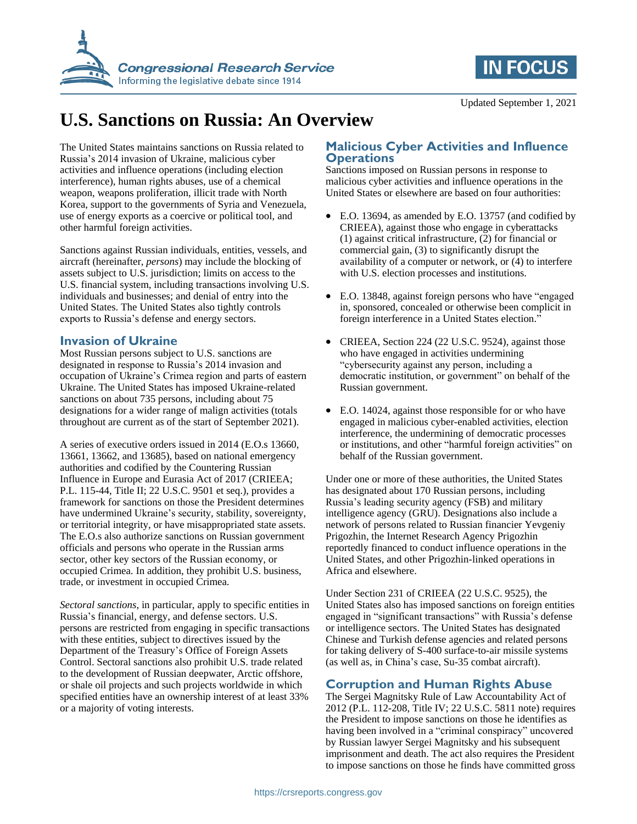



# **U.S. Sanctions on Russia: An Overview**

The United States maintains sanctions on Russia related to Russia's 2014 invasion of Ukraine, malicious cyber activities and influence operations (including election interference), human rights abuses, use of a chemical weapon, weapons proliferation, illicit trade with North Korea, support to the governments of Syria and Venezuela, use of energy exports as a coercive or political tool, and other harmful foreign activities.

Sanctions against Russian individuals, entities, vessels, and aircraft (hereinafter, *persons*) may include the blocking of assets subject to U.S. jurisdiction; limits on access to the U.S. financial system, including transactions involving U.S. individuals and businesses; and denial of entry into the United States. The United States also tightly controls exports to Russia's defense and energy sectors.

### **Invasion of Ukraine**

Most Russian persons subject to U.S. sanctions are designated in response to Russia's 2014 invasion and occupation of Ukraine's Crimea region and parts of eastern Ukraine. The United States has imposed Ukraine-related sanctions on about 735 persons, including about 75 designations for a wider range of malign activities (totals throughout are current as of the start of September 2021).

A series of executive orders issued in 2014 (E.O.s 13660, 13661, 13662, and 13685), based on national emergency authorities and codified by the Countering Russian Influence in Europe and Eurasia Act of 2017 (CRIEEA; P.L. 115-44, Title II; 22 U.S.C. 9501 et seq.), provides a framework for sanctions on those the President determines have undermined Ukraine's security, stability, sovereignty, or territorial integrity, or have misappropriated state assets. The E.O.s also authorize sanctions on Russian government officials and persons who operate in the Russian arms sector, other key sectors of the Russian economy, or occupied Crimea. In addition, they prohibit U.S. business, trade, or investment in occupied Crimea.

*Sectoral sanctions*, in particular, apply to specific entities in Russia's financial, energy, and defense sectors. U.S. persons are restricted from engaging in specific transactions with these entities, subject to directives issued by the Department of the Treasury's Office of Foreign Assets Control. Sectoral sanctions also prohibit U.S. trade related to the development of Russian deepwater, Arctic offshore, or shale oil projects and such projects worldwide in which specified entities have an ownership interest of at least 33% or a majority of voting interests.

## **Malicious Cyber Activities and Influence Operations**

Sanctions imposed on Russian persons in response to malicious cyber activities and influence operations in the United States or elsewhere are based on four authorities:

- E.O. 13694, as amended by E.O. 13757 (and codified by CRIEEA), against those who engage in cyberattacks (1) against critical infrastructure, (2) for financial or commercial gain, (3) to significantly disrupt the availability of a computer or network, or (4) to interfere with U.S. election processes and institutions.
- E.O. 13848, against foreign persons who have "engaged in, sponsored, concealed or otherwise been complicit in foreign interference in a United States election."
- CRIEEA, Section 224 (22 U.S.C. 9524), against those who have engaged in activities undermining "cybersecurity against any person, including a democratic institution, or government" on behalf of the Russian government.
- E.O. 14024, against those responsible for or who have engaged in malicious cyber-enabled activities, election interference, the undermining of democratic processes or institutions, and other "harmful foreign activities" on behalf of the Russian government.

Under one or more of these authorities, the United States has designated about 170 Russian persons, including Russia's leading security agency (FSB) and military intelligence agency (GRU). Designations also include a network of persons related to Russian financier Yevgeniy Prigozhin, the Internet Research Agency Prigozhin reportedly financed to conduct influence operations in the United States, and other Prigozhin-linked operations in Africa and elsewhere.

Under Section 231 of CRIEEA (22 U.S.C. 9525), the United States also has imposed sanctions on foreign entities engaged in "significant transactions" with Russia's defense or intelligence sectors. The United States has designated Chinese and Turkish defense agencies and related persons for taking delivery of S-400 surface-to-air missile systems (as well as, in China's case, Su-35 combat aircraft).

## **Corruption and Human Rights Abuse**

The Sergei Magnitsky Rule of Law Accountability Act of 2012 (P.L. 112-208, Title IV; 22 U.S.C. 5811 note) requires the President to impose sanctions on those he identifies as having been involved in a "criminal conspiracy" uncovered by Russian lawyer Sergei Magnitsky and his subsequent imprisonment and death. The act also requires the President to impose sanctions on those he finds have committed gross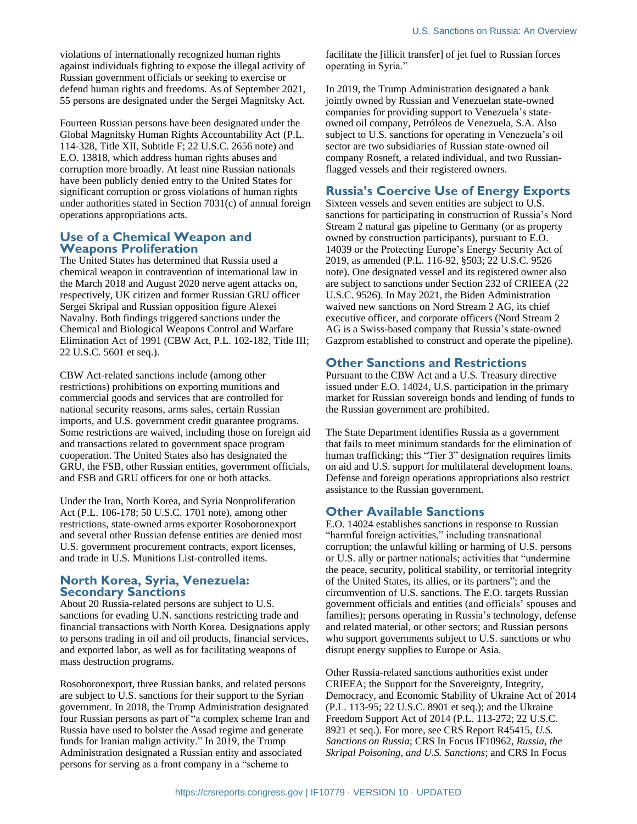violations of internationally recognized human rights against individuals fighting to expose the illegal activity of Russian government officials or seeking to exercise or defend human rights and freedoms. As of September 2021, 55 persons are designated under the Sergei Magnitsky Act.

Fourteen Russian persons have been designated under the Global Magnitsky Human Rights Accountability Act (P.L. 114-328, Title XII, Subtitle F; 22 U.S.C. 2656 note) and E.O. 13818, which address human rights abuses and corruption more broadly. At least nine Russian nationals have been publicly denied entry to the United States for significant corruption or gross violations of human rights under authorities stated in Section 7031(c) of annual foreign operations appropriations acts.

#### **Use of a Chemical Weapon and Weapons Proliferation**

The United States has determined that Russia used a chemical weapon in contravention of international law in the March 2018 and August 2020 nerve agent attacks on, respectively, UK citizen and former Russian GRU officer Sergei Skripal and Russian opposition figure Alexei Navalny. Both findings triggered sanctions under the Chemical and Biological Weapons Control and Warfare Elimination Act of 1991 (CBW Act, P.L. 102-182, Title III; 22 U.S.C. 5601 et seq.).

CBW Act-related sanctions include (among other restrictions) prohibitions on exporting munitions and commercial goods and services that are controlled for national security reasons, arms sales, certain Russian imports, and U.S. government credit guarantee programs. Some restrictions are waived, including those on foreign aid and transactions related to government space program cooperation. The United States also has designated the GRU, the FSB, other Russian entities, government officials, and FSB and GRU officers for one or both attacks.

Under the Iran, North Korea, and Syria Nonproliferation Act (P.L. 106-178; 50 U.S.C. 1701 note), among other restrictions, state-owned arms exporter Rosoboronexport and several other Russian defense entities are denied most U.S. government procurement contracts, export licenses, and trade in U.S. Munitions List-controlled items.

#### **North Korea, Syria, Venezuela: Secondary Sanctions**

About 20 Russia-related persons are subject to U.S. sanctions for evading U.N. sanctions restricting trade and financial transactions with North Korea. Designations apply to persons trading in oil and oil products, financial services, and exported labor, as well as for facilitating weapons of mass destruction programs.

Rosoboronexport, three Russian banks, and related persons are subject to U.S. sanctions for their support to the Syrian government. In 2018, the Trump Administration designated four Russian persons as part of "a complex scheme Iran and Russia have used to bolster the Assad regime and generate funds for Iranian malign activity." In 2019, the Trump Administration designated a Russian entity and associated persons for serving as a front company in a "scheme to

facilitate the [illicit transfer] of jet fuel to Russian forces operating in Syria."

In 2019, the Trump Administration designated a bank jointly owned by Russian and Venezuelan state-owned companies for providing support to Venezuela's stateowned oil company, Petróleos de Venezuela, S.A. Also subject to U.S. sanctions for operating in Venezuela's oil sector are two subsidiaries of Russian state-owned oil company Rosneft, a related individual, and two Russianflagged vessels and their registered owners.

# **Russia's Coercive Use of Energy Exports**

Sixteen vessels and seven entities are subject to U.S. sanctions for participating in construction of Russia's Nord Stream 2 natural gas pipeline to Germany (or as property owned by construction participants), pursuant to E.O. 14039 or the Protecting Europe's Energy Security Act of 2019, as amended (P.L. 116-92, §503; 22 U.S.C. 9526 note). One designated vessel and its registered owner also are subject to sanctions under Section 232 of CRIEEA (22 U.S.C. 9526). In May 2021, the Biden Administration waived new sanctions on Nord Stream 2 AG, its chief executive officer, and corporate officers (Nord Stream 2 AG is a Swiss-based company that Russia's state-owned Gazprom established to construct and operate the pipeline).

# **Other Sanctions and Restrictions**

Pursuant to the CBW Act and a U.S. Treasury directive issued under E.O. 14024, U.S. participation in the primary market for Russian sovereign bonds and lending of funds to the Russian government are prohibited.

The State Department identifies Russia as a government that fails to meet minimum standards for the elimination of human trafficking; this "Tier 3" designation requires limits on aid and U.S. support for multilateral development loans. Defense and foreign operations appropriations also restrict assistance to the Russian government.

## **Other Available Sanctions**

E.O. 14024 establishes sanctions in response to Russian "harmful foreign activities," including transnational corruption; the unlawful killing or harming of U.S. persons or U.S. ally or partner nationals; activities that "undermine the peace, security, political stability, or territorial integrity of the United States, its allies, or its partners"; and the circumvention of U.S. sanctions. The E.O. targets Russian government officials and entities (and officials' spouses and families); persons operating in Russia's technology, defense and related material, or other sectors; and Russian persons who support governments subject to U.S. sanctions or who disrupt energy supplies to Europe or Asia.

Other Russia-related sanctions authorities exist under CRIEEA; the Support for the Sovereignty, Integrity, Democracy, and Economic Stability of Ukraine Act of 2014 (P.L. 113-95; 22 U.S.C. 8901 et seq.); and the Ukraine Freedom Support Act of 2014 (P.L. 113-272; 22 U.S.C. 8921 et seq.). For more, see CRS Report R45415, *U.S. Sanctions on Russia*; CRS In Focus IF10962, *Russia, the Skripal Poisoning, and U.S. Sanctions*; and CRS In Focus